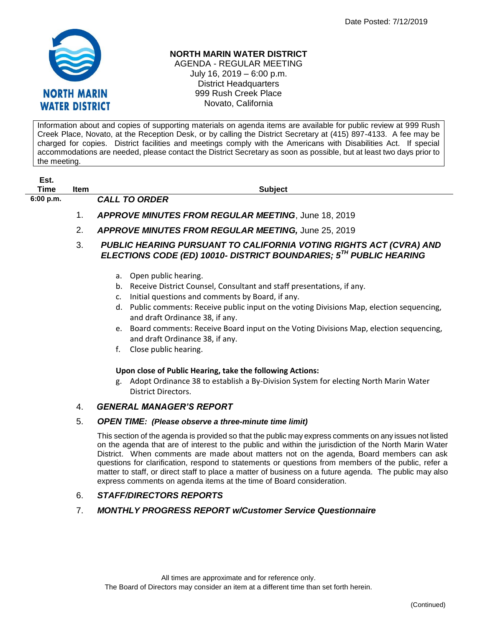

# **NORTH MARIN WATER DISTRICT**

AGENDA - REGULAR MEETING July 16, 2019 – 6:00 p.m. District Headquarters 999 Rush Creek Place Novato, California

Information about and copies of supporting materials on agenda items are available for public review at 999 Rush Creek Place, Novato, at the Reception Desk, or by calling the District Secretary at (415) 897-4133. A fee may be charged for copies. District facilities and meetings comply with the Americans with Disabilities Act. If special accommodations are needed, please contact the District Secretary as soon as possible, but at least two days prior to the meeting.

| Est.        |      |                                                     |
|-------------|------|-----------------------------------------------------|
| Time        | Item | <b>Subject</b>                                      |
| $6:00$ p.m. |      | <b>CALL TO ORDER</b>                                |
|             |      | APPROVE MINUTES FROM REGULAR MEETING, June 18, 2019 |

- 2. *APPROVE MINUTES FROM REGULAR MEETING,* June 25, 2019
- 3. *PUBLIC HEARING PURSUANT TO CALIFORNIA VOTING RIGHTS ACT (CVRA) AND ELECTIONS CODE (ED) 10010- DISTRICT BOUNDARIES; 5TH PUBLIC HEARING*
	- a. Open public hearing.
	- b. Receive District Counsel, Consultant and staff presentations, if any.
	- c. Initial questions and comments by Board, if any.
	- d. Public comments: Receive public input on the voting Divisions Map, election sequencing, and draft Ordinance 38, if any.
	- e. Board comments: Receive Board input on the Voting Divisions Map, election sequencing, and draft Ordinance 38, if any.
	- f. Close public hearing.

### **Upon close of Public Hearing, take the following Actions:**

g. Adopt Ordinance 38 to establish a By-Division System for electing North Marin Water District Directors.

## 4. *GENERAL MANAGER'S REPORT*

### 5. *OPEN TIME: (Please observe a three-minute time limit)*

This section of the agenda is provided so that the public may express comments on any issues not listed on the agenda that are of interest to the public and within the jurisdiction of the North Marin Water District. When comments are made about matters not on the agenda, Board members can ask questions for clarification, respond to statements or questions from members of the public, refer a matter to staff, or direct staff to place a matter of business on a future agenda. The public may also express comments on agenda items at the time of Board consideration.

## 6. *STAFF/DIRECTORS REPORTS*

### 7. *MONTHLY PROGRESS REPORT w/Customer Service Questionnaire*